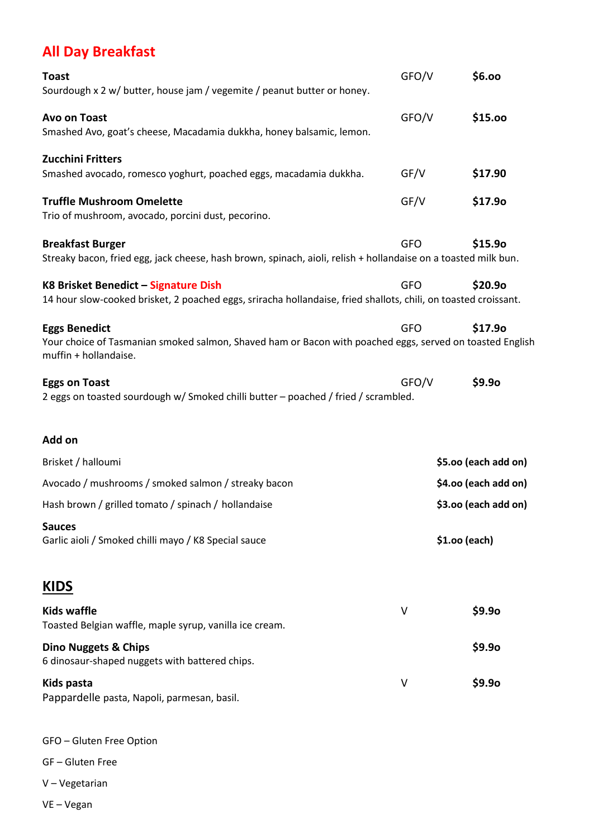## **All Day Breakfast**

| <b>Toast</b>                                                                                                                      | GFO/V      | \$6.00               |  |
|-----------------------------------------------------------------------------------------------------------------------------------|------------|----------------------|--|
| Sourdough x 2 w/ butter, house jam / vegemite / peanut butter or honey.                                                           |            |                      |  |
| <b>Avo on Toast</b>                                                                                                               | GFO/V      | \$15.00              |  |
| Smashed Avo, goat's cheese, Macadamia dukkha, honey balsamic, lemon.                                                              |            |                      |  |
| Zucchini Fritters                                                                                                                 |            |                      |  |
| Smashed avocado, romesco yoghurt, poached eggs, macadamia dukkha.                                                                 | GF/V       | \$17.90              |  |
| <b>Truffle Mushroom Omelette</b>                                                                                                  | GF/V       | \$17.9o              |  |
| Trio of mushroom, avocado, porcini dust, pecorino.                                                                                |            |                      |  |
| <b>Breakfast Burger</b>                                                                                                           | <b>GFO</b> | \$15.90              |  |
| Streaky bacon, fried egg, jack cheese, hash brown, spinach, aioli, relish + hollandaise on a toasted milk bun.                    |            |                      |  |
| K8 Brisket Benedict - Signature Dish                                                                                              | <b>GFO</b> | \$20.9o              |  |
| 14 hour slow-cooked brisket, 2 poached eggs, sriracha hollandaise, fried shallots, chili, on toasted croissant.                   |            |                      |  |
| <b>Eggs Benedict</b>                                                                                                              | <b>GFO</b> | \$17.90              |  |
| Your choice of Tasmanian smoked salmon, Shaved ham or Bacon with poached eggs, served on toasted English<br>muffin + hollandaise. |            |                      |  |
| <b>Eggs on Toast</b><br>2 eggs on toasted sourdough w/ Smoked chilli butter - poached / fried / scrambled.                        | GFO/V      | \$9.9o               |  |
| Add on                                                                                                                            |            |                      |  |
| Brisket / halloumi                                                                                                                |            | \$5.00 (each add on) |  |
| Avocado / mushrooms / smoked salmon / streaky bacon                                                                               |            | \$4.00 (each add on) |  |
| Hash brown / grilled tomato / spinach / hollandaise                                                                               |            | \$3.00 (each add on) |  |
| <b>Sauces</b><br>Garlic aioli / Smoked chilli mayo / K8 Special sauce                                                             |            | \$1.00 (each)        |  |
| <b>KIDS</b>                                                                                                                       |            |                      |  |
| <b>Kids waffle</b><br>Toasted Belgian waffle, maple syrup, vanilla ice cream.                                                     | V          | \$9.9 <sub>o</sub>   |  |
| <b>Dino Nuggets &amp; Chips</b><br>6 dinosaur-shaped nuggets with battered chips.                                                 |            | \$9.9 <sub>o</sub>   |  |
| Kids pasta<br>Pappardelle pasta, Napoli, parmesan, basil.                                                                         | $\vee$     | \$9.9 <sub>o</sub>   |  |

GFO – Gluten Free Option

GF – Gluten Free

- V Vegetarian
- VE Vegan